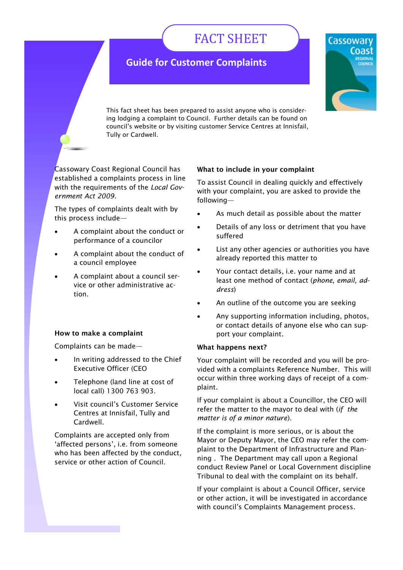# FACT SHEET

# **Guide for Customer Complaints**



This fact sheet has been prepared to assist anyone who is considering lodging a complaint to Council. Further details can be found on council's website or by visiting customer Service Centres at Innisfail, Tully or Cardwell.

Cassowary Coast Regional Council has established a complaints process in line with the requirements of the *Local Government Act 2009.*

The types of complaints dealt with by this process include—

- A complaint about the conduct or performance of a councilor
- A complaint about the conduct of a council employee
- A complaint about a council service or other administrative action.

# **How to make a complaint**

Complaints can be made—

- In writing addressed to the Chief Executive Officer (CEO
- Telephone (land line at cost of local call) 1300 763 903.
- Visit council's Customer Service Centres at Innisfail, Tully and Cardwell.

Complaints are accepted only from 'affected persons', i.e. from someone who has been affected by the conduct, service or other action of Council.

### **What to include in your complaint**

To assist Council in dealing quickly and effectively with your complaint, you are asked to provide the following—

- As much detail as possible about the matter
- Details of any loss or detriment that you have suffered
- List any other agencies or authorities you have already reported this matter to
- Your contact details, i.e. your name and at least one method of contact (*phone, email, address*)
- An outline of the outcome you are seeking
- Any supporting information including, photos, or contact details of anyone else who can support your complaint.

#### **What happens next?**

Your complaint will be recorded and you will be provided with a complaints Reference Number. This will occur within three working days of receipt of a complaint.

If your complaint is about a Councillor, the CEO will refer the matter to the mayor to deal with (*if the matter is of a minor nature*).

If the complaint is more serious, or is about the Mayor or Deputy Mayor, the CEO may refer the complaint to the Department of Infrastructure and Planning . The Department may call upon a Regional conduct Review Panel or Local Government discipline Tribunal to deal with the complaint on its behalf.

If your complaint is about a Council Officer, service or other action, it will be investigated in accordance with council's Complaints Management process.